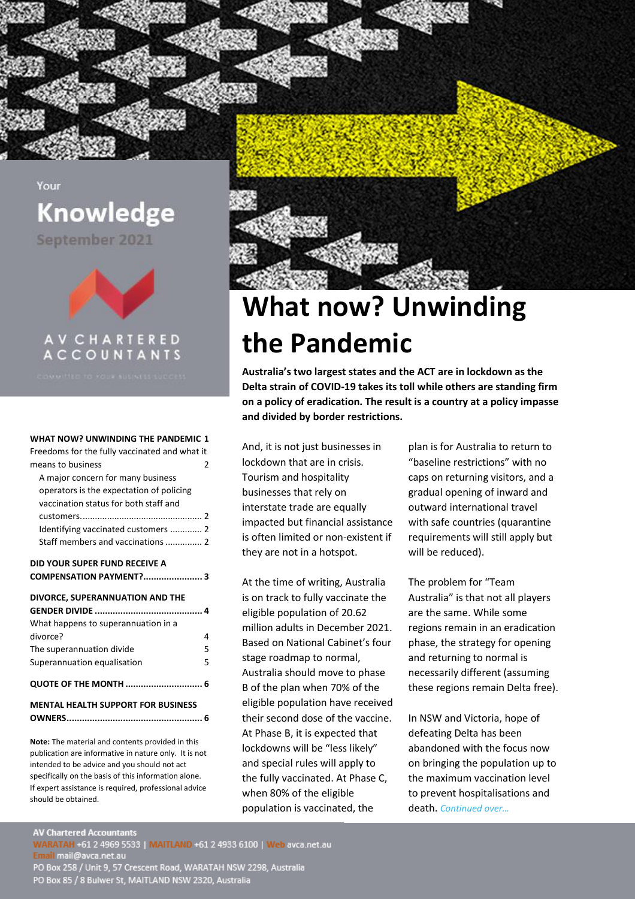<span id="page-0-0"></span>

### Your Knowledge September 2021



AV CHARTERED<br>ACCOUNTANTS

#### **[WHAT NOW? UNWINDING THE PANDEMIC](#page-0-0) 1**

[Freedoms for the fully vaccinated and what it](#page-1-0)  [means to business](#page-1-0) 2

| A major concern for many business        |  |
|------------------------------------------|--|
| operators is the expectation of policing |  |
| vaccination status for both staff and    |  |
|                                          |  |
| Identifying vaccinated customers  2      |  |
| Staff members and vaccinations  2        |  |
| DID YOUR SUPER FUND RECEIVE A            |  |

| COMPENSATION PAYMENT? 3 |  |
|-------------------------|--|
|                         |  |

| DIVORCE, SUPERANNUATION AND THE           |   |
|-------------------------------------------|---|
|                                           |   |
| What happens to superannuation in a       |   |
| divorce?                                  | 4 |
| The superannuation divide                 | 5 |
| Superannuation equalisation               | 5 |
| QUOTE OF THE MONTH  6                     |   |
| <b>MENTAL HEALTH SUPPORT FOR BUSINESS</b> |   |
|                                           |   |

**Note:** The material and contents provided in this publication are informative in nature only. It is not intended to be advice and you should not act specifically on the basis of this information alone. If expert assistance is required, professional advice should be obtained.



## **What now? Unwinding the Pandemic**

**Australia's two largest states and the ACT are in lockdown as the Delta strain of COVID-19 takes its toll while others are standing firm on a policy of eradication. The result is a country at a policy impasse and divided by border restrictions.**

And, it is not just businesses in lockdown that are in crisis. Tourism and hospitality businesses that rely on interstate trade are equally impacted but financial assistance is often limited or non-existent if they are not in a hotspot.

At the time of writing, Australia is on track to fully vaccinate the eligible population of 20.62 million adults in December 2021. Based on National Cabinet's four stage roadmap to normal, Australia should move to phase B of the plan when 70% of the eligible population have received their second dose of the vaccine. At Phase B, it is expected that lockdowns will be "less likely" and special rules will apply to the fully vaccinated. At Phase C, when 80% of the eligible population is vaccinated, the

plan is for Australia to return to "baseline restrictions" with no caps on returning visitors, and a gradual opening of inward and outward international travel with safe countries (quarantine requirements will still apply but will be reduced).

The problem for "Team Australia" is that not all players are the same. While some regions remain in an eradication phase, the strategy for opening and returning to normal is necessarily different (assuming these regions remain Delta free).

In NSW and Victoria, hope of defeating Delta has been abandoned with the focus now on bringing the population up to the maximum vaccination level to prevent hospitalisations and death. *Continued over…*

**AV Chartered Accountants** 

WARATAH +61 2 4969 5533 | MAITLAND +61 2 4933 6100 | Web avca.net.au<br>Email mail@avca.net.au<br>PO Box 258 / Unit 9, 57 Crescent Road, WARATAH NSW 2298, Australia

PO Box 85 / 8 Bulwer St, MAITLAND NSW 2320, Australia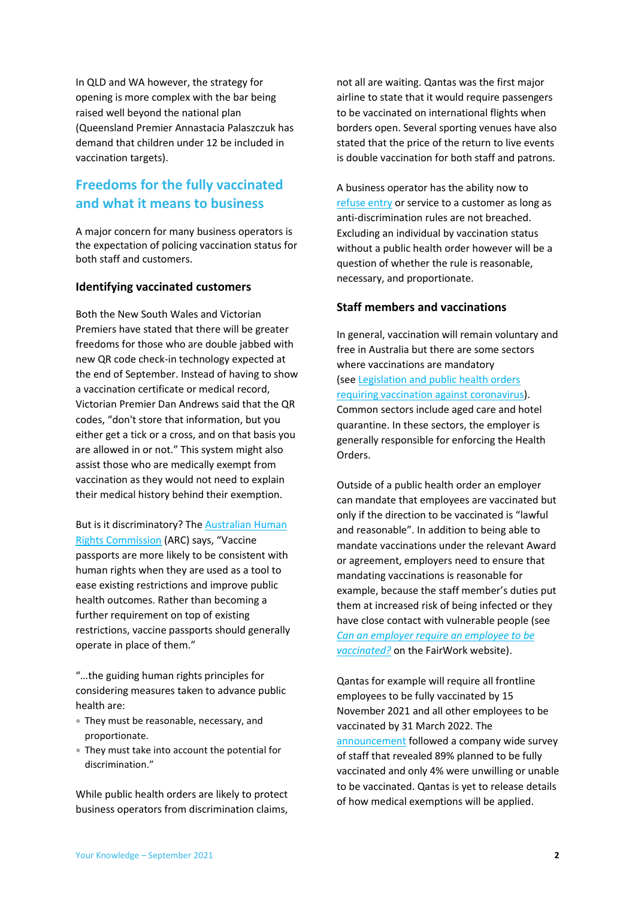In QLD and WA however, the strategy for opening is more complex with the bar being raised well beyond the national plan (Queensland Premier Annastacia Palaszczuk has demand that children under 12 be included in vaccination targets).

#### <span id="page-1-0"></span>**Freedoms for the fully vaccinated and what it means to business**

<span id="page-1-1"></span>A major concern for many business operators is the expectation of policing vaccination status for both staff and customers.

#### <span id="page-1-2"></span>**Identifying vaccinated customers**

Both the New South Wales and Victorian Premiers have stated that there will be greater freedoms for those who are double jabbed with new QR code check-in technology expected at the end of September. Instead of having to show a vaccination certificate or medical record, Victorian Premier Dan Andrews said that the QR codes, "don't store that information, but you either get a tick or a cross, and on that basis you are allowed in or not." This system might also assist those who are medically exempt from vaccination as they would not need to explain their medical history behind their exemption.

But is it discriminatory? The [Australian Human](https://humanrights.gov.au/our-work/rights-and-freedoms/human-rights-considerations-vaccine-passports)  [Rights Commission](https://humanrights.gov.au/our-work/rights-and-freedoms/human-rights-considerations-vaccine-passports) (ARC) says, "Vaccine passports are more likely to be consistent with human rights when they are used as a tool to ease existing restrictions and improve public health outcomes. Rather than becoming a further requirement on top of existing restrictions, vaccine passports should generally operate in place of them."

"…the guiding human rights principles for considering measures taken to advance public health are:

- They must be reasonable, necessary, and proportionate.
- They must take into account the potential for discrimination."

While public health orders are likely to protect business operators from discrimination claims,

not all are waiting. Qantas was the first major airline to state that it would require passengers to be vaccinated on international flights when borders open. Several sporting venues have also stated that the price of the return to live events is double vaccination for both staff and patrons.

A business operator has the ability now to [refuse entry](https://business.gov.au/people/customers/refuse-service) or service to a customer as long as anti-discrimination rules are not breached. Excluding an individual by vaccination status without a public health order however will be a question of whether the rule is reasonable, necessary, and proportionate.

#### <span id="page-1-3"></span>**Staff members and vaccinations**

In general, vaccination will remain voluntary and free in Australia but there are some sectors where vaccinations are mandatory (see [Legislation and public health orders](https://coronavirus.fairwork.gov.au/coronavirus-and-australian-workplace-laws/covid-19-vaccinations-and-the-workplace/covid-19-vaccinations-workplace-rights-and-obligations#legislation-and-public-health-orders)  [requiring vaccination against coronavirus\)](https://coronavirus.fairwork.gov.au/coronavirus-and-australian-workplace-laws/covid-19-vaccinations-and-the-workplace/covid-19-vaccinations-workplace-rights-and-obligations#legislation-and-public-health-orders). Common sectors include aged care and hotel quarantine. In these sectors, the employer is generally responsible for enforcing the Health Orders.

Outside of a public health order an employer can mandate that employees are vaccinated but only if the direction to be vaccinated is "lawful and reasonable". In addition to being able to mandate vaccinations under the relevant Award or agreement, employers need to ensure that mandating vaccinations is reasonable for example, because the staff member's duties put them at increased risk of being infected or they have close contact with vulnerable people (see *[Can an employer require an employee to be](https://coronavirus.fairwork.gov.au/coronavirus-and-australian-workplace-laws/covid-19-vaccinations-and-the-workplace/covid-19-vaccinations-workplace-rights-and-obligations#can-an-employer-require-an-employee-to-be-vaccinated)  [vaccinated?](https://coronavirus.fairwork.gov.au/coronavirus-and-australian-workplace-laws/covid-19-vaccinations-and-the-workplace/covid-19-vaccinations-workplace-rights-and-obligations#can-an-employer-require-an-employee-to-be-vaccinated)* on the FairWork website).

Qantas for example will require all frontline employees to be fully vaccinated by 15 November 2021 and all other employees to be vaccinated by 31 March 2022. The [announcement](https://www.qantasnewsroom.com.au/media-releases/qantas-group-to-require-employees-to-be-vaccinated-against-covid-19/) followed a company wide survey of staff that revealed 89% planned to be fully vaccinated and only 4% were unwilling or unable to be vaccinated. Qantas is yet to release details of how medical exemptions will be applied.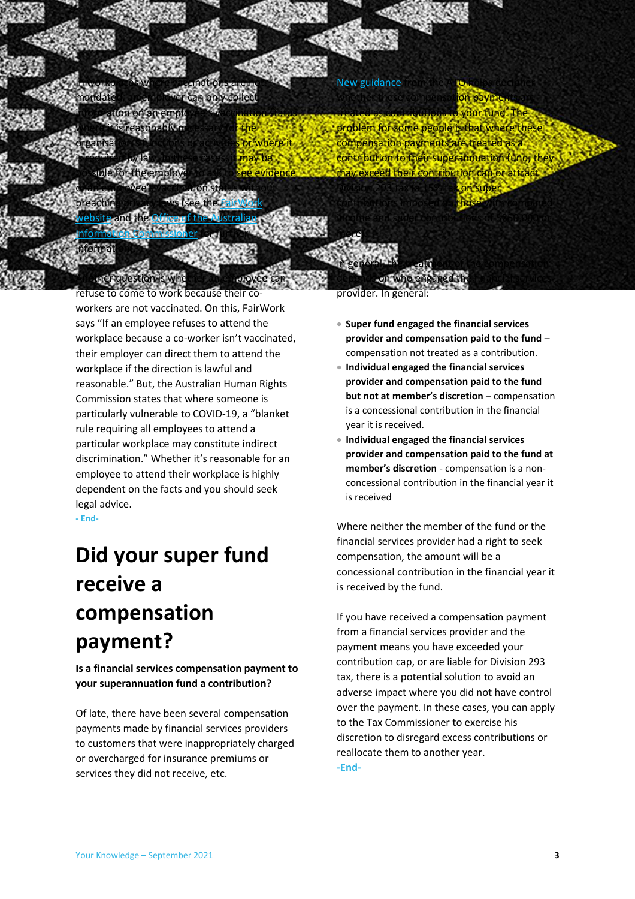

refuse to come to work because their coworkers are not vaccinated. On this, FairWork says "If an employee refuses to attend the workplace because a co-worker isn't vaccinated, their employer can direct them to attend the workplace if the direction is lawful and reasonable." But, the Australian Human Rights Commission states that where someone is particularly vulnerable to COVID-19, a "blanket rule requiring all employees to attend a particular workplace may constitute indirect discrimination." Whether it's reasonable for an employee to attend their workplace is highly dependent on the facts and you should seek legal advice. **- End-**

## <span id="page-2-0"></span>**Did your super fund receive a compensation payment?**

**Is a financial services compensation payment to your superannuation fund a contribution?**

Of late, there have been several compensation payments made by financial services providers to customers that were inappropriately charged or overcharged for insurance premiums or services they did not receive, etc.

provider. In general:

- **Super fund engaged the financial services provider and compensation paid to the fund** – compensation not treated as a contribution.
- **Individual engaged the financial services provider and compensation paid to the fund but not at member's discretion** – compensation is a concessional contribution in the financial year it is received.
- **Individual engaged the financial services provider and compensation paid to the fund at member's discretion** - compensation is a nonconcessional contribution in the financial year it is received

Where neither the member of the fund or the financial services provider had a right to seek compensation, the amount will be a concessional contribution in the financial year it is received by the fund.

If you have received a compensation payment from a financial services provider and the payment means you have exceeded your contribution cap, or are liable for Division 293 tax, there is a potential solution to avoid an adverse impact where you did not have control over the payment. In these cases, you can apply to the Tax Commissioner to exercise his discretion to disregard excess contributions or reallocate them to another year. **-End-**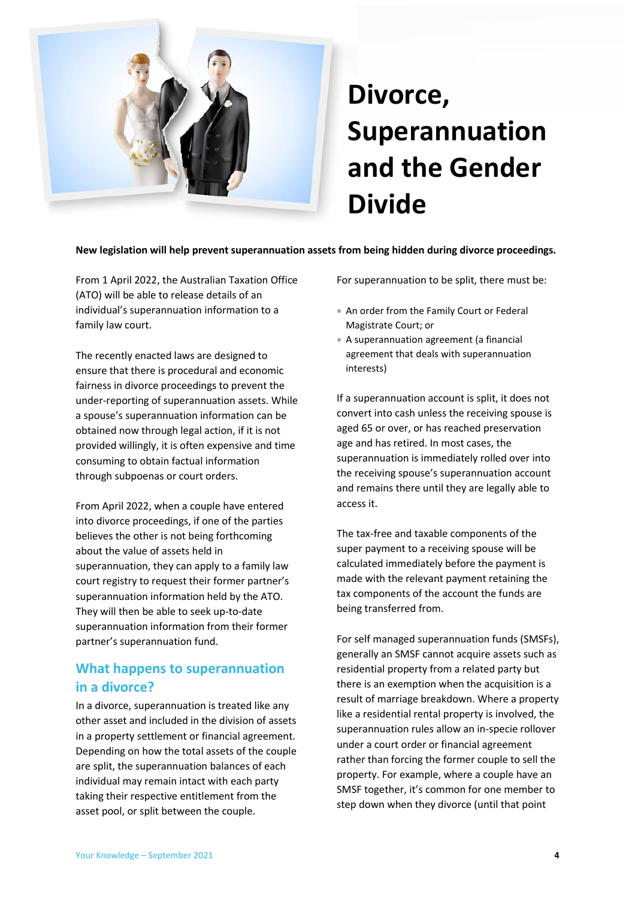

# <span id="page-3-0"></span>**Divorce, Superannuation and the Gender Divide**

**New legislation will help prevent superannuation assets from being hidden during divorce proceedings.**

From 1 April 2022, the Australian Taxation Office (ATO) will be able to release details of an individual's superannuation information to a family law court.

The recently enacted laws are designed to ensure that there is procedural and economic fairness in divorce proceedings to prevent the under-reporting of superannuation assets. While a spouse's superannuation information can be obtained now through legal action, if it is not provided willingly, it is often expensive and time consuming to obtain factual information through subpoenas or court orders.

From April 2022, when a couple have entered into divorce proceedings, if one of the parties believes the other is not being forthcoming about the value of assets held in superannuation, they can apply to a family law court registry to request their former partner's superannuation information held by the ATO. They will then be able to seek up-to-date superannuation information from their former partner's superannuation fund.

#### <span id="page-3-1"></span>**What happens to superannuation in a divorce?**

In a divorce, superannuation is treated like any other asset and included in the division of assets in a property settlement or financial agreement. Depending on how the total assets of the couple are split, the superannuation balances of each individual may remain intact with each party taking their respective entitlement from the asset pool, or split between the couple.

For superannuation to be split, there must be:

- An order from the Family Court or Federal Magistrate Court; or
- A superannuation agreement (a financial agreement that deals with superannuation interests)

If a superannuation account is split, it does not convert into cash unless the receiving spouse is aged 65 or over, or has reached preservation age and has retired. In most cases, the superannuation is immediately rolled over into the receiving spouse's superannuation account and remains there until they are legally able to access it.

The tax-free and taxable components of the super payment to a receiving spouse will be calculated immediately before the payment is made with the relevant payment retaining the tax components of the account the funds are being transferred from.

For self managed superannuation funds (SMSFs), generally an SMSF cannot acquire assets such as residential property from a related party but there is an exemption when the acquisition is a result of marriage breakdown. Where a property like a residential rental property is involved, the superannuation rules allow an in-specie rollover under a court order or financial agreement rather than forcing the former couple to sell the property. For example, where a couple have an SMSF together, it's common for one member to step down when they divorce (until that point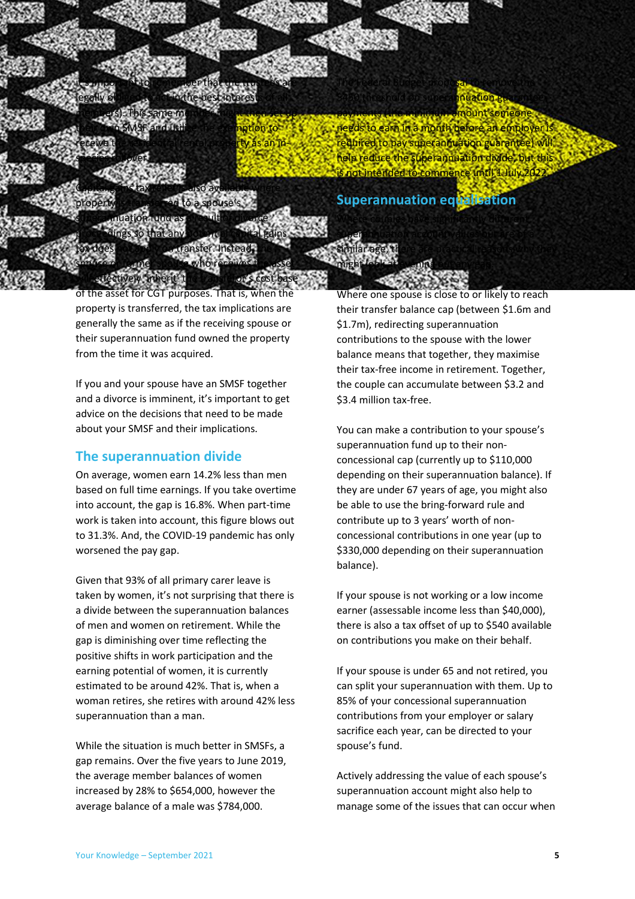#### \$450 threshold on superannuation guarantee. nount someone

needs to earn in a month before an employer is required to pay superannuation guarantee) will help reduce the superannuation divide, but this **is not intended to commence until 1 July 2022** 

The Federal Budget proposal to remove the

#### <span id="page-4-1"></span>**Superannuation equalisation**

might look at evening out any gap.

Where couples have significantly different superannuation account values but are of a similar age, there are practical reasons why they

of the asset for CGT purposes. That is, when the property is transferred, the tax implications are generally the same as if the receiving spouse or their superannuation fund owned the property from the time it was acquired.

it simply for the remember that the trustees are

members). This same member might then set up

Capital gains fax relief is also available where

uation fund as ngs so that any

vely 'inherit

ed to a spouse's

transfer. Instead  $which$ 

species rollover.

the best interes

intion to: ty as an in

If you and your spouse have an SMSF together and a divorce is imminent, it's important to get advice on the decisions that need to be made about your SMSF and their implications.

#### <span id="page-4-0"></span>**The superannuation divide**

On average, women earn 14.2% less than men based on full time earnings. If you take overtime into account, the gap is 16.8%. When part-time work is taken into account, this figure blows out to 31.3%. And, the COVID-19 pandemic has only worsened the pay gap.

Given that 93% of all primary carer leave is taken by women, it's not surprising that there is a divide between the superannuation balances of men and women on retirement. While the gap is diminishing over time reflecting the positive shifts in work participation and the earning potential of women, it is currently estimated to be around 42%. That is, when a woman retires, she retires with around 42% less superannuation than a man.

While the situation is much better in SMSFs, a gap remains. Over the five years to June 2019, the average member balances of women increased by 28% to \$654,000, however the average balance of a male was \$784,000.

Where one spouse is close to or likely to reach their transfer balance cap (between \$1.6m and \$1.7m), redirecting superannuation contributions to the spouse with the lower balance means that together, they maximise their tax-free income in retirement. Together, the couple can accumulate between \$3.2 and \$3.4 million tax-free.

You can make a contribution to your spouse's superannuation fund up to their nonconcessional cap (currently up to \$110,000 depending on their superannuation balance). If they are under 67 years of age, you might also be able to use the bring-forward rule and contribute up to 3 years' worth of nonconcessional contributions in one year (up to \$330,000 depending on their superannuation balance).

If your spouse is not working or a low income earner (assessable income less than \$40,000), there is also a tax offset of up to \$540 available on contributions you make on their behalf.

If your spouse is under 65 and not retired, you can split your superannuation with them. Up to 85% of your concessional superannuation contributions from your employer or salary sacrifice each year, can be directed to your spouse's fund.

Actively addressing the value of each spouse's superannuation account might also help to manage some of the issues that can occur when